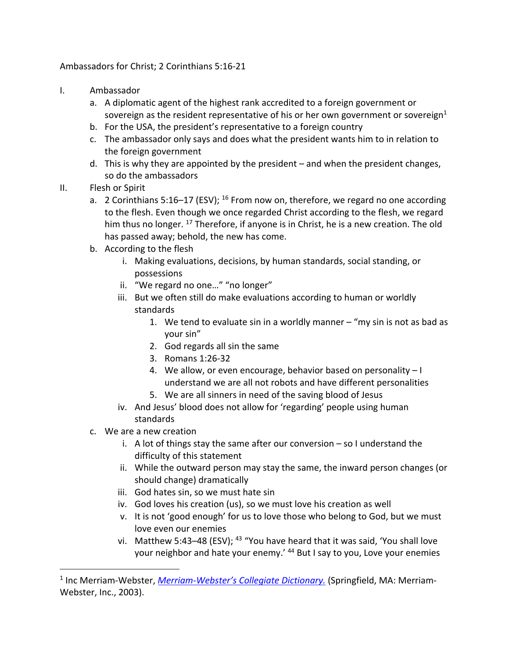Ambassadors for Christ; 2 Corinthians 5:16-21

- I. Ambassador
	- a. A diplomatic agent of the highest rank accredited to a foreign government or sovereign as the resident representative of his or her own government or sovereign<sup>1</sup>
	- b. For the USA, the president's representative to a foreign country
	- c. The ambassador only says and does what the president wants him to in relation to the foreign government
	- d. This is why they are appointed by the president and when the president changes, so do the ambassadors
- II. Flesh or Spirit
	- a. 2 Corinthians 5:16–17 (ESV);  $^{16}$  From now on, therefore, we regard no one according to the flesh. Even though we once regarded Christ according to the flesh, we regard him thus no longer.  $^{17}$  Therefore, if anyone is in Christ, he is a new creation. The old has passed away; behold, the new has come.
	- b. According to the flesh
		- i. Making evaluations, decisions, by human standards, social standing, or possessions
		- ii. "We regard no one…" "no longer"
		- iii. But we often still do make evaluations according to human or worldly standards
			- 1. We tend to evaluate sin in a worldly manner "my sin is not as bad as your sin"
			- 2. God regards all sin the same
			- 3. Romans 1:26-32
			- 4. We allow, or even encourage, behavior based on personality I understand we are all not robots and have different personalities
			- 5. We are all sinners in need of the saving blood of Jesus
		- iv. And Jesus' blood does not allow for 'regarding' people using human standards
	- c. We are a new creation
		- i. A lot of things stay the same after our conversion so I understand the difficulty of this statement
		- ii. While the outward person may stay the same, the inward person changes (or should change) dramatically
		- iii. God hates sin, so we must hate sin
		- iv. God loves his creation (us), so we must love his creation as well
		- v. It is not 'good enough' for us to love those who belong to God, but we must love even our enemies
		- vi. Matthew 5:43-48 (ESV);  $43$  "You have heard that it was said, 'You shall love your neighbor and hate your enemy.' <sup>44</sup> But I say to you, Love your enemies

<sup>1</sup> Inc Merriam-Webster, *Merriam-Webster's Collegiate Dictionary.* (Springfield, MA: Merriam-Webster, Inc., 2003).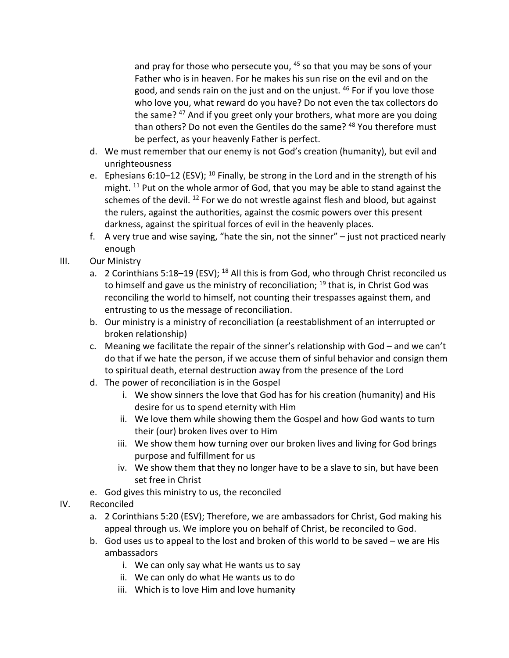and pray for those who persecute you,  $45$  so that you may be sons of your Father who is in heaven. For he makes his sun rise on the evil and on the good, and sends rain on the just and on the unjust. <sup>46</sup> For if you love those who love you, what reward do you have? Do not even the tax collectors do the same? <sup>47</sup> And if you greet only your brothers, what more are you doing than others? Do not even the Gentiles do the same? <sup>48</sup> You therefore must be perfect, as your heavenly Father is perfect.

- d. We must remember that our enemy is not God's creation (humanity), but evil and unrighteousness
- e. Ephesians 6:10–12 (ESV);  $^{10}$  Finally, be strong in the Lord and in the strength of his might.  $11$  Put on the whole armor of God, that you may be able to stand against the schemes of the devil.  $^{12}$  For we do not wrestle against flesh and blood, but against the rulers, against the authorities, against the cosmic powers over this present darkness, against the spiritual forces of evil in the heavenly places.
- f. A very true and wise saying, "hate the sin, not the sinner" just not practiced nearly enough
- III. Our Ministry
	- a. 2 Corinthians 5:18-19 (ESV); <sup>18</sup> All this is from God, who through Christ reconciled us to himself and gave us the ministry of reconciliation;  $19$  that is, in Christ God was reconciling the world to himself, not counting their trespasses against them, and entrusting to us the message of reconciliation.
	- b. Our ministry is a ministry of reconciliation (a reestablishment of an interrupted or broken relationship)
	- c. Meaning we facilitate the repair of the sinner's relationship with God and we can't do that if we hate the person, if we accuse them of sinful behavior and consign them to spiritual death, eternal destruction away from the presence of the Lord
	- d. The power of reconciliation is in the Gospel
		- i. We show sinners the love that God has for his creation (humanity) and His desire for us to spend eternity with Him
		- ii. We love them while showing them the Gospel and how God wants to turn their (our) broken lives over to Him
		- iii. We show them how turning over our broken lives and living for God brings purpose and fulfillment for us
		- iv. We show them that they no longer have to be a slave to sin, but have been set free in Christ
	- e. God gives this ministry to us, the reconciled
- IV. Reconciled
	- a. 2 Corinthians 5:20 (ESV); Therefore, we are ambassadors for Christ, God making his appeal through us. We implore you on behalf of Christ, be reconciled to God.
	- b. God uses us to appeal to the lost and broken of this world to be saved we are His ambassadors
		- i. We can only say what He wants us to say
		- ii. We can only do what He wants us to do
		- iii. Which is to love Him and love humanity